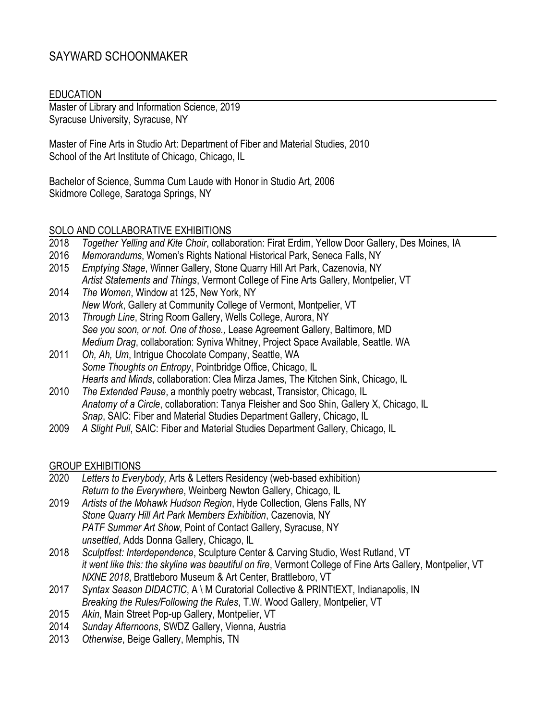# SAYWARD SCHOONMAKER

#### EDUCATION

Master of Library and Information Science, 2019 Syracuse University, Syracuse, NY

Master of Fine Arts in Studio Art: Department of Fiber and Material Studies, 2010 School of the Art Institute of Chicago, Chicago, IL

Bachelor of Science, Summa Cum Laude with Honor in Studio Art, 2006 Skidmore College, Saratoga Springs, NY

#### SOLO AND COLLABORATIVE EXHIBITIONS

- 2018 *Together Yelling and Kite Choir*, collaboration: Firat Erdim, Yellow Door Gallery, Des Moines, IA
- 2016 *Memorandums*, Women's Rights National Historical Park, Seneca Falls, NY
- 2015 *Emptying Stage*, Winner Gallery, Stone Quarry Hill Art Park, Cazenovia, NY *Artist Statements and Things*, Vermont College of Fine Arts Gallery, Montpelier, VT
- 2014 *The Women*, Window at 125, New York, NY *New Work*, Gallery at Community College of Vermont, Montpelier, VT
- 2013 *Through Line*, String Room Gallery, Wells College, Aurora, NY *See you soon, or not. One of those.,* Lease Agreement Gallery, Baltimore, MD *Medium Drag*, collaboration: Syniva Whitney, Project Space Available, Seattle. WA
- 2011 *Oh, Ah, Um*, Intrigue Chocolate Company, Seattle, WA *Some Thoughts on Entropy*, Pointbridge Office, Chicago, IL *Hearts and Minds*, collaboration: Clea Mirza James, The Kitchen Sink, Chicago, IL
- 2010 *The Extended Pause*, a monthly poetry webcast, Transistor, Chicago, IL *Anatomy of a Circle*, collaboration: Tanya Fleisher and Soo Shin, Gallery X, Chicago, IL *Snap*, SAIC: Fiber and Material Studies Department Gallery, Chicago, IL
- 2009 *A Slight Pull*, SAIC: Fiber and Material Studies Department Gallery, Chicago, IL

#### GROUP EXHIBITIONS

- 2020 *Letters to Everybody,* Arts & Letters Residency (web-based exhibition) *Return to the Everywhere*, Weinberg Newton Gallery, Chicago, IL
- 2019 *Artists of the Mohawk Hudson Region*, Hyde Collection, Glens Falls, NY *Stone Quarry Hill Art Park Members Exhibition*, Cazenovia, NY *PATF Summer Art Show*, Point of Contact Gallery, Syracuse, NY *unsettled*, Adds Donna Gallery, Chicago, IL
- 2018 *Sculptfest: Interdependence*, Sculpture Center & Carving Studio, West Rutland, VT *it went like this: the skyline was beautiful on fire*, Vermont College of Fine Arts Gallery, Montpelier, VT *NXNE 2018*, Brattleboro Museum & Art Center, Brattleboro, VT
- 2017 *Syntax Season DIDACTIC*, A \ M Curatorial Collective & PRINTtEXT, Indianapolis, IN *Breaking the Rules/Following the Rules*, T.W. Wood Gallery, Montpelier, VT
- 2015 *Akin*, Main Street Pop-up Gallery, Montpelier, VT
- 2014 *Sunday Afternoons*, SWDZ Gallery, Vienna, Austria
- 2013 *Otherwise*, Beige Gallery, Memphis, TN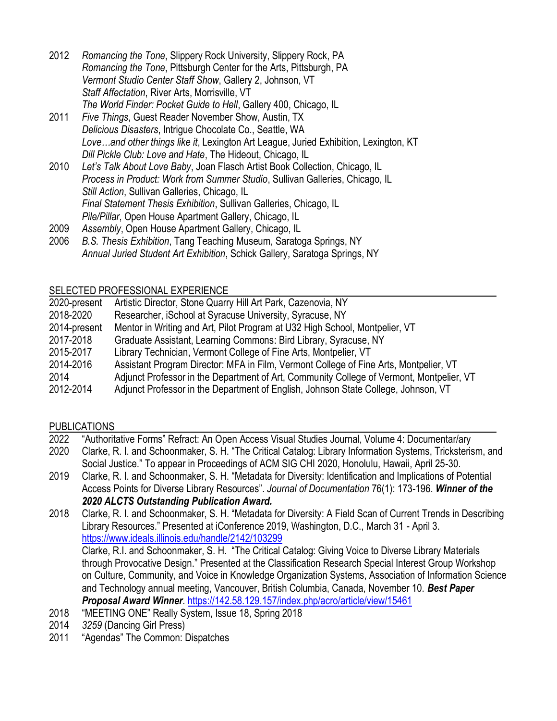- 2012 *Romancing the Tone*, Slippery Rock University, Slippery Rock, PA *Romancing the Tone*, Pittsburgh Center for the Arts, Pittsburgh, PA *Vermont Studio Center Staff Show*, Gallery 2, Johnson, VT *Staff Affectation*, River Arts, Morrisville, VT *The World Finder: Pocket Guide to Hell*, Gallery 400, Chicago, IL
- 2011 *Five Things*, Guest Reader November Show, Austin, TX *Delicious Disasters*, Intrigue Chocolate Co., Seattle, WA *Love…and other things like it*, Lexington Art League, Juried Exhibition, Lexington, KT *Dill Pickle Club: Love and Hate*, The Hideout, Chicago, IL
- 2010 *Let's Talk About Love Baby*, Joan Flasch Artist Book Collection, Chicago, IL *Process in Product: Work from Summer Studio*, Sullivan Galleries, Chicago, IL *Still Action*, Sullivan Galleries, Chicago, IL *Final Statement Thesis Exhibition*, Sullivan Galleries, Chicago, IL *Pile/Pillar*, Open House Apartment Gallery, Chicago, IL
- 2009 *Assembly*, Open House Apartment Gallery, Chicago, IL
- 2006 *B.S. Thesis Exhibition*, Tang Teaching Museum, Saratoga Springs, NY *Annual Juried Student Art Exhibition*, Schick Gallery, Saratoga Springs, NY

## SELECTED PROFESSIONAL EXPERIENCE

| 2020-present | Artistic Director, Stone Quarry Hill Art Park, Cazenovia, NY                             |
|--------------|------------------------------------------------------------------------------------------|
| 2018-2020    | Researcher, iSchool at Syracuse University, Syracuse, NY                                 |
| 2014-present | Mentor in Writing and Art, Pilot Program at U32 High School, Montpelier, VT              |
| 2017-2018    | Graduate Assistant, Learning Commons: Bird Library, Syracuse, NY                         |
| 2015-2017    | Library Technician, Vermont College of Fine Arts, Montpelier, VT                         |
| 2014-2016    | Assistant Program Director: MFA in Film, Vermont College of Fine Arts, Montpelier, VT    |
| 2014         | Adjunct Professor in the Department of Art, Community College of Vermont, Montpelier, VT |
| 2012-2014    | Adjunct Professor in the Department of English, Johnson State College, Johnson, VT       |

# PUBLICATIONS

| 2022 | "Authoritative Forms" Refract: An Open Access Visual Studies Journal, Volume 4: Documentar/ary                                                                                                                                                                                                                                                                                                         |
|------|--------------------------------------------------------------------------------------------------------------------------------------------------------------------------------------------------------------------------------------------------------------------------------------------------------------------------------------------------------------------------------------------------------|
| 2020 | Clarke, R. I. and Schoonmaker, S. H. "The Critical Catalog: Library Information Systems, Tricksterism, and                                                                                                                                                                                                                                                                                             |
|      | Social Justice." To appear in Proceedings of ACM SIG CHI 2020, Honolulu, Hawaii, April 25-30.                                                                                                                                                                                                                                                                                                          |
| 2019 | Clarke, R. I. and Schoonmaker, S. H. "Metadata for Diversity: Identification and Implications of Potential                                                                                                                                                                                                                                                                                             |
|      | Access Points for Diverse Library Resources". Journal of Documentation 76(1): 173-196. Winner of the                                                                                                                                                                                                                                                                                                   |
|      | 2020 ALCTS Outstanding Publication Award.                                                                                                                                                                                                                                                                                                                                                              |
| 2018 | Clarke, R. I. and Schoonmaker, S. H. "Metadata for Diversity: A Field Scan of Current Trends in Describing                                                                                                                                                                                                                                                                                             |
|      | Library Resources." Presented at iConference 2019, Washington, D.C., March 31 - April 3.                                                                                                                                                                                                                                                                                                               |
|      | https://www.ideals.illinois.edu/handle/2142/103299                                                                                                                                                                                                                                                                                                                                                     |
|      | Clarke, R.I. and Schoonmaker, S. H. "The Critical Catalog: Giving Voice to Diverse Library Materials                                                                                                                                                                                                                                                                                                   |
|      | through Provocative Design." Presented at the Classification Research Special Interest Group Workshop                                                                                                                                                                                                                                                                                                  |
|      | on Culture, Community, and Voice in Knowledge Organization Systems, Association of Information Science                                                                                                                                                                                                                                                                                                 |
|      | and Technology annual meeting, Vancouver, British Columbia, Canada, November 10. Best Paper                                                                                                                                                                                                                                                                                                            |
|      | Proposal Award Winner. https://142.58.129.157/index.php/acro/article/view/15461                                                                                                                                                                                                                                                                                                                        |
| 2018 | "MEETING ONE" Really System, Issue 18, Spring 2018                                                                                                                                                                                                                                                                                                                                                     |
| 0011 | $225.070 \times 10^{-10} \times 10^{-10} \times 10^{-10} \times 10^{-10} \times 10^{-10} \times 10^{-10} \times 10^{-10} \times 10^{-10} \times 10^{-10} \times 10^{-10} \times 10^{-10} \times 10^{-10} \times 10^{-10} \times 10^{-10} \times 10^{-10} \times 10^{-10} \times 10^{-10} \times 10^{-10} \times 10^{-10} \times 10^{-10} \times 10^{-10} \times 10^{-10} \times 10^{-10} \times 10^{-$ |

- 2014 *3259* (Dancing Girl Press)
- 2011 "Agendas" The Common: Dispatches